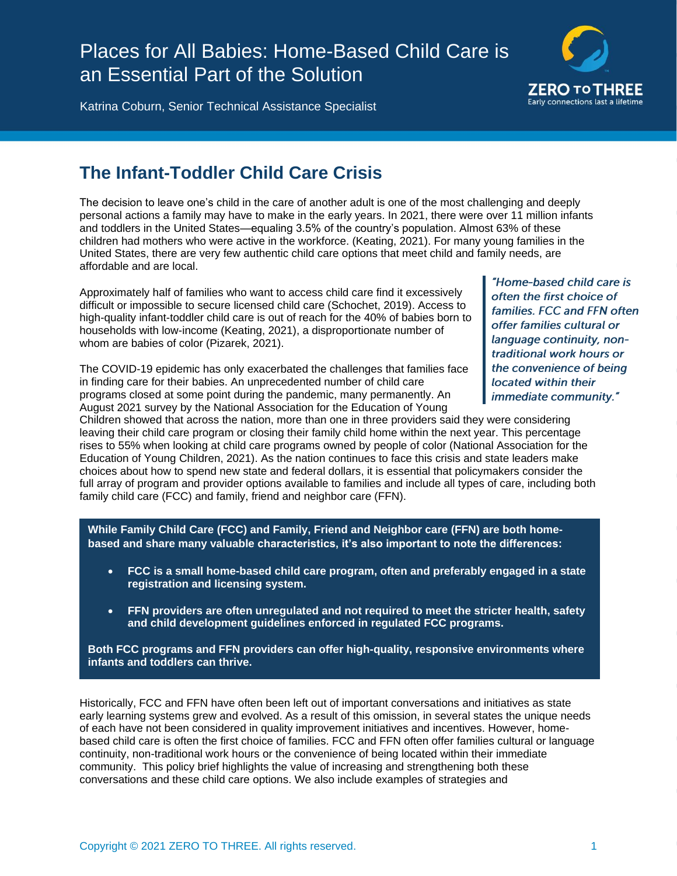# Places for All Babies: Home-Based Child Care is an Essential Part of the Solution



Katrina Coburn, Senior Technical Assistance Specialist

# **The Infant-Toddler Child Care Crisis**

The decision to leave one's child in the care of another adult is one of the most challenging and deeply personal actions a family may have to make in the early years. In 2021, there were over 11 million infants and toddlers in the United States—equaling 3.5% of the country's population. Almost 63% of these children had mothers who were active in the workforce. (Keating, 2021). For many young families in the United States, there are very few authentic child care options that meet child and family needs, are affordable and are local.

Approximately half of families who want to access child care find it excessively difficult or impossible to secure licensed child care (Schochet, 2019). Access to high-quality infant-toddler child care is out of reach for the 40% of babies born to households with low-income (Keating, 2021), a disproportionate number of whom are babies of color (Pizarek, 2021).

The COVID-19 epidemic has only exacerbated the challenges that families face in finding care for their babies. An unprecedented number of child care programs closed at some point during the pandemic, many permanently. An August 2021 survey by the National Association for the Education of Young

"Home-based child care is often the first choice of families. FCC and FFN often offer families cultural or language continuity, nontraditional work hours or the convenience of being located within their immediate community."

Children showed that across the nation, more than one in three providers said they were considering leaving their child care program or closing their family child home within the next year. This percentage rises to 55% when looking at child care programs owned by people of color (National Association for the Education of Young Children, 2021). As the nation continues to face this crisis and state leaders make choices about how to spend new state and federal dollars, it is essential that policymakers consider the full array of program and provider options available to families and include all types of care, including both family child care (FCC) and family, friend and neighbor care (FFN).

**While Family Child Care (FCC) and Family, Friend and Neighbor care (FFN) are both homebased and share many valuable characteristics, it's also important to note the differences:**

- **FCC is a small home-based child care program, often and preferably engaged in a state registration and licensing system.**
- **FFN providers are often unregulated and not required to meet the stricter health, safety and child development guidelines enforced in regulated FCC programs.**

**Both FCC programs and FFN providers can offer high-quality, responsive environments where infants and toddlers can thrive.**

Historically, FCC and FFN have often been left out of important conversations and initiatives as state early learning systems grew and evolved. As a result of this omission, in several states the unique needs of each have not been considered in quality improvement initiatives and incentives. However, homebased child care is often the first choice of families. FCC and FFN often offer families cultural or language continuity, non-traditional work hours or the convenience of being located within their immediate community. This policy brief highlights the value of increasing and strengthening both these conversations and these child care options. We also include examples of strategies and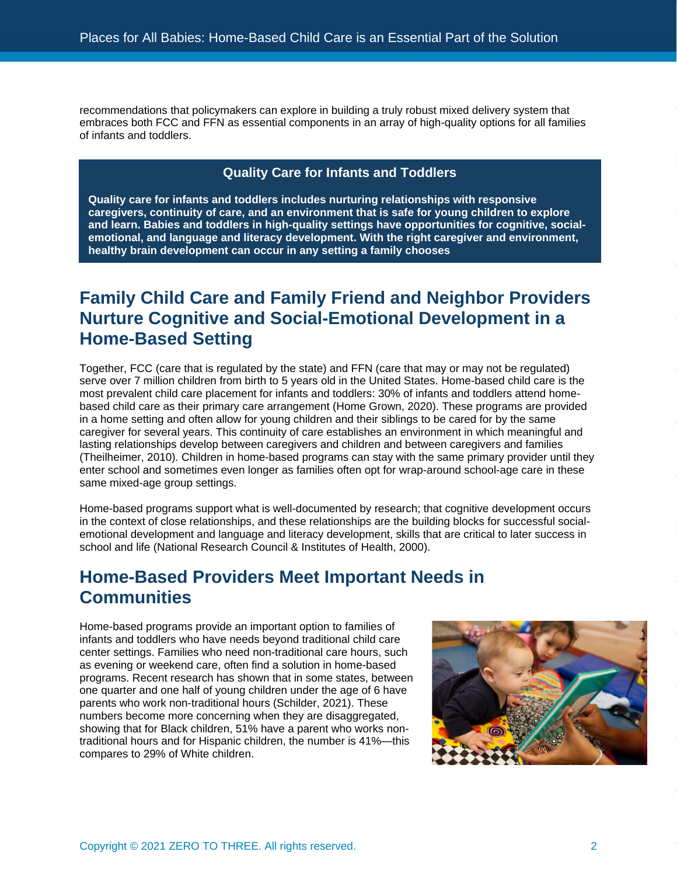recommendations that policymakers can explore in building a truly robust mixed delivery system that embraces both FCC and FFN as essential components in an array of high-quality options for all families of infants and toddlers.

### **Quality Care for Infants and Toddlers**

**Quality care for infants and toddlers includes nurturing relationships with responsive caregivers, continuity of care, and an environment that is safe for young children to explore and learn. Babies and toddlers in high-quality settings have opportunities for cognitive, socialemotional, and language and literacy development. With the right caregiver and environment, healthy brain development can occur in any setting a family chooses**

# **Family Child Care and Family Friend and Neighbor Providers Nurture Cognitive and Social-Emotional Development in a Home-Based Setting**

Together, FCC (care that is regulated by the state) and FFN (care that may or may not be regulated) serve over 7 million children from birth to 5 years old in the United States. Home-based child care is the most prevalent child care placement for infants and toddlers: 30% of infants and toddlers attend homebased child care as their primary care arrangement (Home Grown, 2020). These programs are provided in a home setting and often allow for young children and their siblings to be cared for by the same caregiver for several years. This continuity of care establishes an environment in which meaningful and lasting relationships develop between caregivers and children and between caregivers and families (Theilheimer, 2010). Children in home-based programs can stay with the same primary provider until they enter school and sometimes even longer as families often opt for wrap-around school-age care in these same mixed-age group settings.

Home-based programs support what is well-documented by research; that cognitive development occurs in the context of close relationships, and these relationships are the building blocks for successful socialemotional development and language and literacy development, skills that are critical to later success in school and life (National Research Council & Institutes of Health, 2000).

### **Home-Based Providers Meet Important Needs in Communities**

Home-based programs provide an important option to families of infants and toddlers who have needs beyond traditional child care center settings. Families who need non-traditional care hours, such as evening or weekend care, often find a solution in home-based programs. Recent research has shown that in some states, between one quarter and one half of young children under the age of 6 have parents who work non-traditional hours (Schilder, 2021). These numbers become more concerning when they are disaggregated, showing that for Black children, 51% have a parent who works nontraditional hours and for Hispanic children, the number is 41%—this compares to 29% of White children.

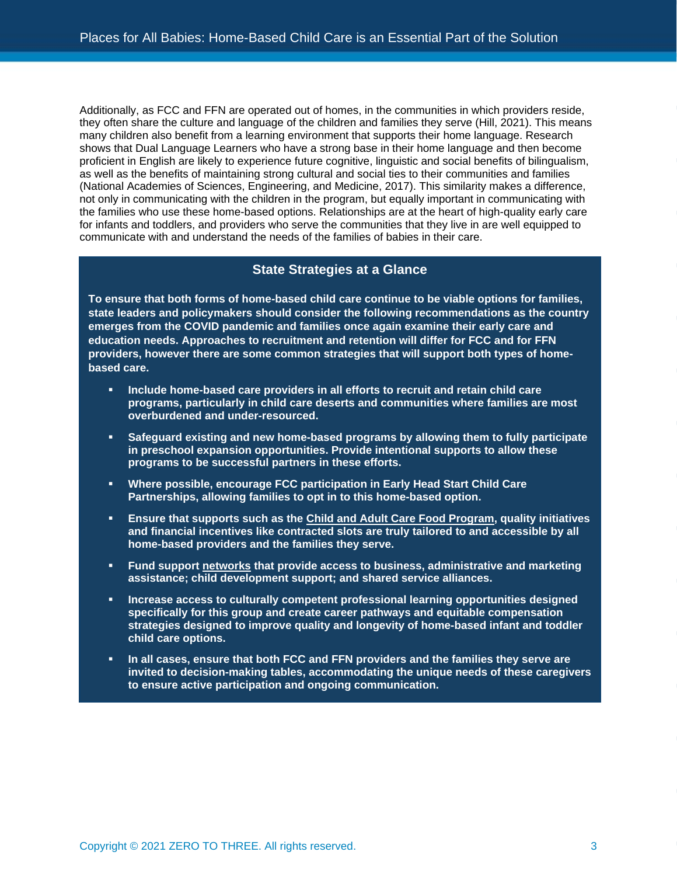Additionally, as FCC and FFN are operated out of homes, in the communities in which providers reside, they often share the culture and language of the children and families they serve (Hill, 2021). This means many children also benefit from a learning environment that supports their home language. Research shows that Dual Language Learners who have a strong base in their home language and then become proficient in English are likely to experience future cognitive, linguistic and social benefits of bilingualism, as well as the benefits of maintaining strong cultural and social ties to their communities and families (National Academies of Sciences, Engineering, and Medicine, 2017). This similarity makes a difference, not only in communicating with the children in the program, but equally important in communicating with the families who use these home-based options. Relationships are at the heart of high-quality early care for infants and toddlers, and providers who serve the communities that they live in are well equipped to communicate with and understand the needs of the families of babies in their care.

### **State Strategies at a Glance**

**To ensure that both forms of home-based child care continue to be viable options for families, state leaders and policymakers should consider the following recommendations as the country emerges from the COVID pandemic and families once again examine their early care and education needs. Approaches to recruitment and retention will differ for FCC and for FFN providers, however there are some common strategies that will support both types of homebased care.**

- **Include home-based care providers in all efforts to recruit and retain child care programs, particularly in child care deserts and communities where families are most overburdened and under-resourced.**
- Safeguard existing and new home-based programs by allowing them to fully participate **in preschool expansion opportunities. Provide intentional supports to allow these programs to be successful partners in these efforts.**
- **Where possible, encourage FCC participation in Early Head Start Child Care Partnerships, allowing families to opt in to this home-based option.**
- **Ensure that supports such as the [Child and Adult Care Food Program,](https://www.urban.org/research/publication/child-and-adult-care-food-program-and-home-based-child-care-providers) quality initiatives and financial incentives like contracted slots are truly tailored to and accessible by all home-based providers and the families they serve.**
- **Fund support [networks](https://homegrownchildcare.org/building-comprehensive-networks/) that provide access to business, administrative and marketing assistance; child development support; and shared service alliances.**
- **Increase access to culturally competent professional learning opportunities designed specifically for this group and create career pathways and equitable compensation strategies designed to improve quality and longevity of home-based infant and toddler child care options.**
- In all cases, ensure that both FCC and FFN providers and the families they serve are **invited to decision-making tables, accommodating the unique needs of these caregivers to ensure active participation and ongoing communication.**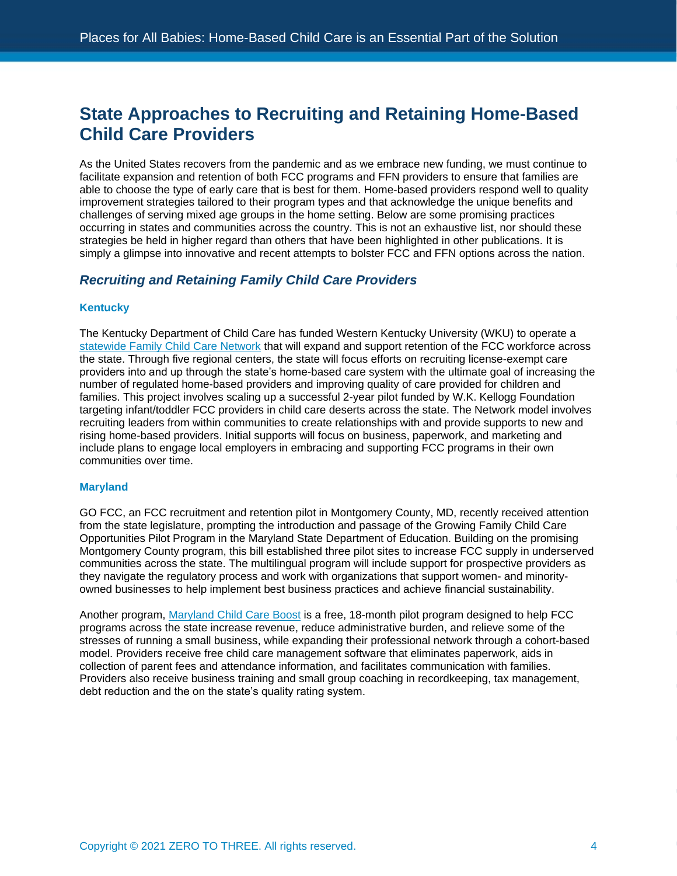### **State Approaches to Recruiting and Retaining Home-Based Child Care Providers**

As the United States recovers from the pandemic and as we embrace new funding, we must continue to facilitate expansion and retention of both FCC programs and FFN providers to ensure that families are able to choose the type of early care that is best for them. Home-based providers respond well to quality improvement strategies tailored to their program types and that acknowledge the unique benefits and challenges of serving mixed age groups in the home setting. Below are some promising practices occurring in states and communities across the country. This is not an exhaustive list, nor should these strategies be held in higher regard than others that have been highlighted in other publications. It is simply a glimpse into innovative and recent attempts to bolster FCC and FFN options across the nation.

### *Recruiting and Retaining Family Child Care Providers*

#### **Kentucky**

The Kentucky Department of Child Care has funded Western Kentucky University (WKU) to operate a [statewide Family Child Care Network](https://www.wku.edu/news/articles/index.php?view=article&articleid=9786) that will expand and support retention of the FCC workforce across the state. Through five regional centers, the state will focus efforts on recruiting license-exempt care providers into and up through the state's home-based care system with the ultimate goal of increasing the number of regulated home-based providers and improving quality of care provided for children and families. This project involves scaling up a successful 2-year pilot funded by W.K. Kellogg Foundation targeting infant/toddler FCC providers in child care deserts across the state. The Network model involves recruiting leaders from within communities to create relationships with and provide supports to new and rising home-based providers. Initial supports will focus on business, paperwork, and marketing and include plans to engage local employers in embracing and supporting FCC programs in their own communities over time.

#### **Maryland**

GO FCC, an FCC recruitment and retention pilot in Montgomery County, MD, recently received attention from the state legislature, prompting the introduction and passage of the Growing Family Child Care Opportunities Pilot Program in the Maryland State Department of Education. Building on the promising Montgomery County program, this bill established three pilot sites to increase FCC supply in underserved communities across the state. The multilingual program will include support for prospective providers as they navigate the regulatory process and work with organizations that support women- and minorityowned businesses to help implement best business practices and achieve financial sustainability.

Another program, [Maryland Child Care Boost](https://www.childcareboost.com/) is a free, 18-month pilot program designed to help FCC programs across the state increase revenue, reduce administrative burden, and relieve some of the stresses of running a small business, while expanding their professional network through a cohort-based model. Providers receive free child care management software that eliminates paperwork, aids in collection of parent fees and attendance information, and facilitates communication with families. Providers also receive business training and small group coaching in recordkeeping, tax management, debt reduction and the on the state's quality rating system.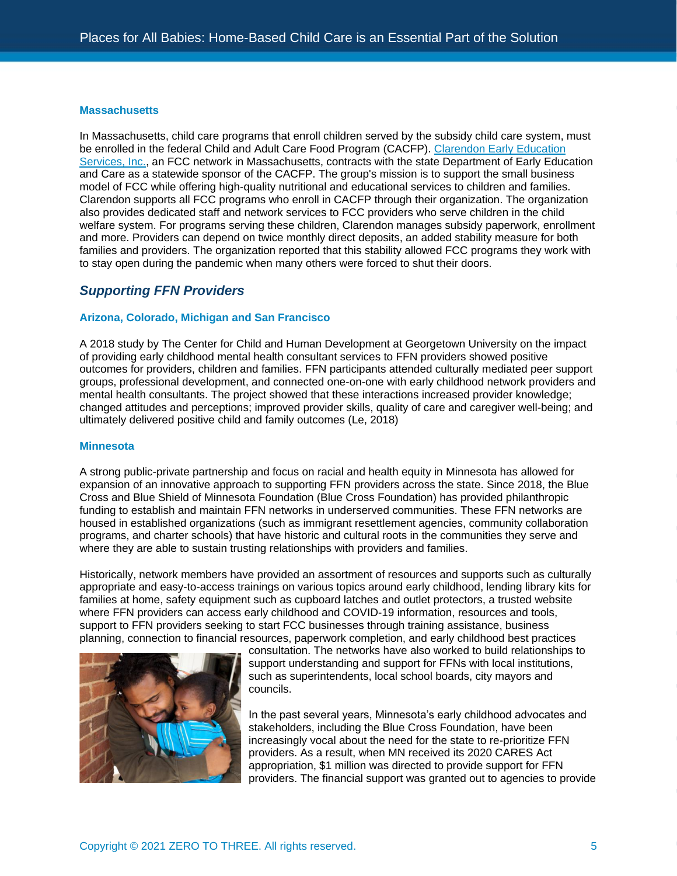#### **Massachusetts**

In Massachusetts, child care programs that enroll children served by the subsidy child care system, must be enrolled in the federal Child and Adult Care Food Program (CACFP). [Clarendon Early Education](https://clarendonearlyeducationservices.org/)  [Services, Inc.,](https://clarendonearlyeducationservices.org/) an FCC network in Massachusetts, contracts with the state Department of Early Education and Care as a statewide sponsor of the CACFP. The group's mission is to support the small business model of FCC while offering high-quality nutritional and educational services to children and families. Clarendon supports all FCC programs who enroll in CACFP through their organization. The organization also provides dedicated staff and network services to FCC providers who serve children in the child welfare system. For programs serving these children, Clarendon manages subsidy paperwork, enrollment and more. Providers can depend on twice monthly direct deposits, an added stability measure for both families and providers. The organization reported that this stability allowed FCC programs they work with to stay open during the pandemic when many others were forced to shut their doors.

### *Supporting FFN Providers*

#### **Arizona, Colorado, Michigan and San Francisco**

A 2018 study by The Center for Child and Human Development at Georgetown University on the impact of providing early childhood mental health consultant services to FFN providers showed positive outcomes for providers, children and families. FFN participants attended culturally mediated peer support groups, professional development, and connected one-on-one with early childhood network providers and mental health consultants. The project showed that these interactions increased provider knowledge; changed attitudes and perceptions; improved provider skills, quality of care and caregiver well-being; and ultimately delivered positive child and family outcomes (Le, 2018)

#### **Minnesota**

A strong public-private partnership and focus on racial and health equity in Minnesota has allowed for expansion of an innovative approach to supporting FFN providers across the state. Since 2018, the Blue Cross and Blue Shield of Minnesota Foundation (Blue Cross Foundation) has provided philanthropic funding to establish and maintain FFN networks in underserved communities. These FFN networks are housed in established organizations (such as immigrant resettlement agencies, community collaboration programs, and charter schools) that have historic and cultural roots in the communities they serve and where they are able to sustain trusting relationships with providers and families.

Historically, network members have provided an assortment of resources and supports such as culturally appropriate and easy-to-access trainings on various topics around early childhood, lending library kits for families at home, safety equipment such as cupboard latches and outlet protectors, a trusted website where FFN providers can access early childhood and COVID-19 information, resources and tools, support to FFN providers seeking to start FCC businesses through training assistance, business planning, connection to financial resources, paperwork completion, and early childhood best practices



consultation. The networks have also worked to build relationships to support understanding and support for FFNs with local institutions, such as superintendents, local school boards, city mayors and councils.

In the past several years, Minnesota's early childhood advocates and stakeholders, including the Blue Cross Foundation, have been increasingly vocal about the need for the state to re-prioritize FFN providers. As a result, when MN received its 2020 CARES Act appropriation, \$1 million was directed to provide support for FFN providers. The financial support was granted out to agencies to provide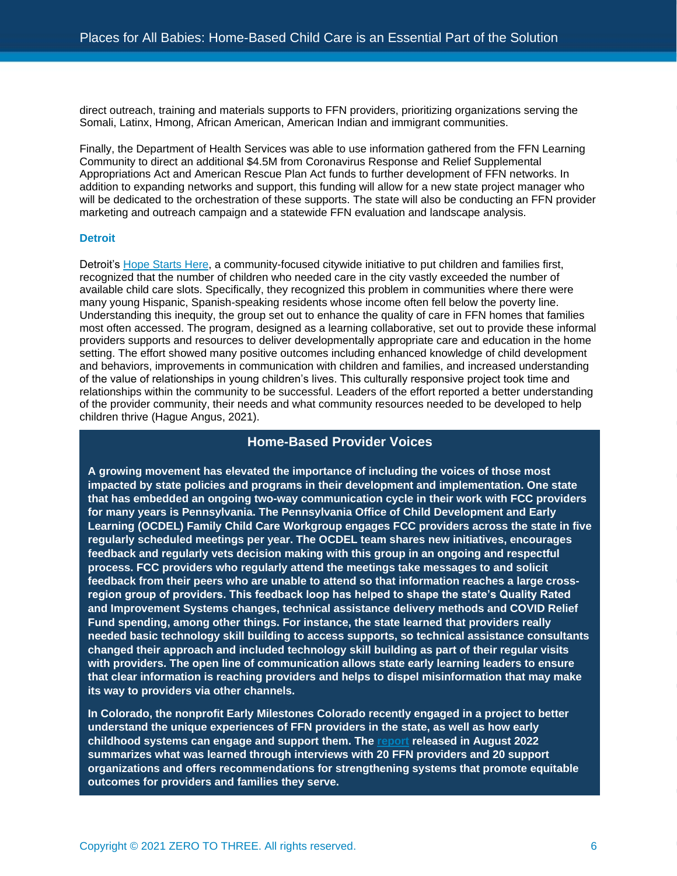direct outreach, training and materials supports to FFN providers, prioritizing organizations serving the Somali, Latinx, Hmong, African American, American Indian and immigrant communities.

Finally, the Department of Health Services was able to use information gathered from the FFN Learning Community to direct an additional \$4.5M from Coronavirus Response and Relief Supplemental Appropriations Act and American Rescue Plan Act funds to further development of FFN networks. In addition to expanding networks and support, this funding will allow for a new state project manager who will be dedicated to the orchestration of these supports. The state will also be conducting an FFN provider marketing and outreach campaign and a statewide FFN evaluation and landscape analysis.

#### **Detroit**

Detroit's [Hope Starts Here,](https://hopestartsheredetroit.org/) a community-focused citywide initiative to put children and families first, recognized that the number of children who needed care in the city vastly exceeded the number of available child care slots. Specifically, they recognized this problem in communities where there were many young Hispanic, Spanish-speaking residents whose income often fell below the poverty line. Understanding this inequity, the group set out to enhance the quality of care in FFN homes that families most often accessed. The program, designed as a learning collaborative, set out to provide these informal providers supports and resources to deliver developmentally appropriate care and education in the home setting. The effort showed many positive outcomes including enhanced knowledge of child development and behaviors, improvements in communication with children and families, and increased understanding of the value of relationships in young children's lives. This culturally responsive project took time and relationships within the community to be successful. Leaders of the effort reported a better understanding of the provider community, their needs and what community resources needed to be developed to help children thrive (Hague Angus, 2021).

### **Home-Based Provider Voices**

**A growing movement has elevated the importance of including the voices of those most impacted by state policies and programs in their development and implementation. One state that has embedded an ongoing two-way communication cycle in their work with FCC providers for many years is Pennsylvania. The Pennsylvania Office of Child Development and Early Learning (OCDEL) Family Child Care Workgroup engages FCC providers across the state in five regularly scheduled meetings per year. The OCDEL team shares new initiatives, encourages feedback and regularly vets decision making with this group in an ongoing and respectful process. FCC providers who regularly attend the meetings take messages to and solicit feedback from their peers who are unable to attend so that information reaches a large crossregion group of providers. This feedback loop has helped to shape the state's Quality Rated and Improvement Systems changes, technical assistance delivery methods and COVID Relief Fund spending, among other things. For instance, the state learned that providers really needed basic technology skill building to access supports, so technical assistance consultants changed their approach and included technology skill building as part of their regular visits with providers. The open line of communication allows state early learning leaders to ensure that clear information is reaching providers and helps to dispel misinformation that may make its way to providers via other channels.**

**In Colorado, the nonprofit Early Milestones Colorado recently engaged in a project to better understand the unique experiences of FFN providers in the state, as well as how early childhood systems can engage and support them. The [report](https://earlymilestones.org/wp-content/uploads/2021/08/FFN-Report-Web.pdf) released in August 2022 summarizes what was learned through interviews with 20 FFN providers and 20 support organizations and offers recommendations for strengthening systems that promote equitable outcomes for providers and families they serve.**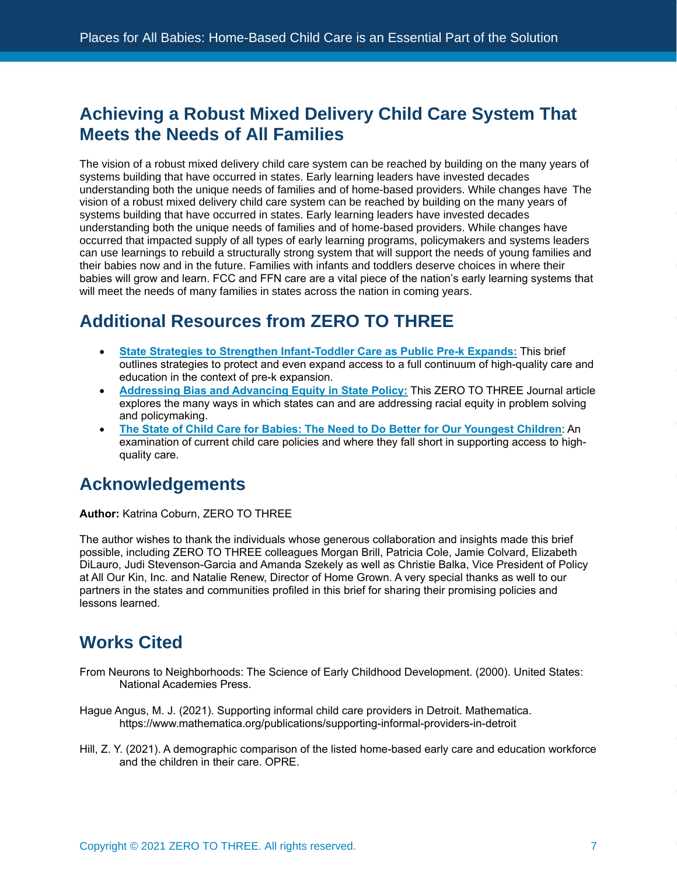### **Achieving a Robust Mixed Delivery Child Care System That Meets the Needs of All Families**

The vision of a robust mixed delivery child care system can be reached by building on the many years of systems building that have occurred in states. Early learning leaders have invested decades understanding both the unique needs of families and of home-based providers. While changes have The vision of a robust mixed delivery child care system can be reached by building on the many years of systems building that have occurred in states. Early learning leaders have invested decades understanding both the unique needs of families and of home-based providers. While changes have occurred that impacted supply of all types of early learning programs, policymakers and systems leaders can use learnings to rebuild a structurally strong system that will support the needs of young families and their babies now and in the future. Families with infants and toddlers deserve choices in where their babies will grow and learn. FCC and FFN care are a vital piece of the nation's early learning systems that will meet the needs of many families in states across the nation in coming years.

# **Additional Resources from ZERO TO THREE**

- **[State Strategies to Strengthen Infant-Toddler Care as Public Pre-k Expands:](https://www.zerotothree.org/resources/4179-state-strategies-to-strengthen-infant-toddler-care-as-public-pre-k-expands)** This brief outlines strategies to protect and even expand access to a full continuum of high-quality care and education in the context of pre-k expansion.
- **[Addressing Bias and Advancing Equity in State Policy:](https://www.zerotothree.org/resources/4198-addressing-bias-and-advancing-equity-in-state-policy)** This ZERO TO THREE Journal article explores the many ways in which states can and are addressing racial equity in problem solving and policymaking.
- **[The State of Child Care for Babies: The Need to Do Better for Our Youngest Children](https://www.zerotothree.org/resources/3924-the-state-of-child-care-for-babies-the-need-to-do-better-for-our-youngest-children)**: An examination of current child care policies and where they fall short in supporting access to highquality care.

# **Acknowledgements**

**Author:** Katrina Coburn, ZERO TO THREE

The author wishes to thank the individuals whose generous collaboration and insights made this brief possible, including ZERO TO THREE colleagues Morgan Brill, Patricia Cole, Jamie Colvard, Elizabeth DiLauro, Judi Stevenson-Garcia and Amanda Szekely as well as Christie Balka, Vice President of Policy at All Our Kin, Inc. and Natalie Renew, Director of Home Grown. A very special thanks as well to our partners in the states and communities profiled in this brief for sharing their promising policies and lessons learned.

# **Works Cited**

- From Neurons to Neighborhoods: The Science of Early Childhood Development. (2000). United States: National Academies Press.
- Hague Angus, M. J. (2021). Supporting informal child care providers in Detroit. Mathematica. https://www.mathematica.org/publications/supporting-informal-providers-in-detroit
- Hill, Z. Y. (2021). A demographic comparison of the listed home-based early care and education workforce and the children in their care. OPRE.